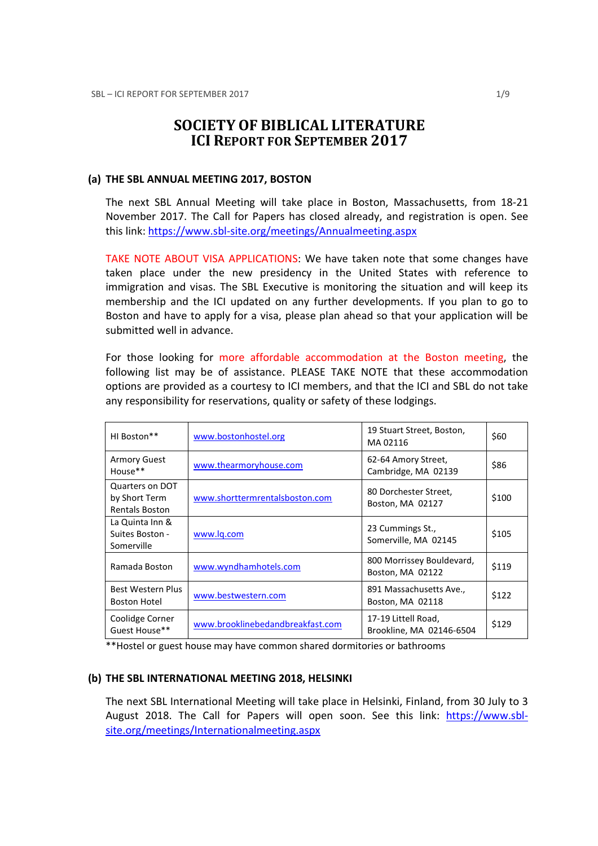# SOCIETY OF BIBLICAL LITERATURE ICI REPORT FOR SEPTEMBER 2017

## (a) THE SBL ANNUAL MEETING 2017, BOSTON

The next SBL Annual Meeting will take place in Boston, Massachusetts, from 18-21 November 2017. The Call for Papers has closed already, and registration is open. See this link: https://www.sbl-site.org/meetings/Annualmeeting.aspx

TAKE NOTE ABOUT VISA APPLICATIONS: We have taken note that some changes have taken place under the new presidency in the United States with reference to immigration and visas. The SBL Executive is monitoring the situation and will keep its membership and the ICI updated on any further developments. If you plan to go to Boston and have to apply for a visa, please plan ahead so that your application will be submitted well in advance.

For those looking for more affordable accommodation at the Boston meeting, the following list may be of assistance. PLEASE TAKE NOTE that these accommodation options are provided as a courtesy to ICI members, and that the ICI and SBL do not take any responsibility for reservations, quality or safety of these lodgings.

| HI Boston**                                               | www.bostonhostel.org             | 19 Stuart Street, Boston,<br>MA02116            | \$60  |
|-----------------------------------------------------------|----------------------------------|-------------------------------------------------|-------|
| <b>Armory Guest</b><br>House**                            | www.thearmoryhouse.com           | 62-64 Amory Street,<br>Cambridge, MA 02139      | \$86  |
| Quarters on DOT<br>by Short Term<br><b>Rentals Boston</b> | www.shorttermrentalsboston.com   | 80 Dorchester Street,<br>Boston, MA 02127       | \$100 |
| La Quinta Inn &<br>Suites Boston -<br>Somerville          | www.lg.com                       | 23 Cummings St.,<br>Somerville, MA 02145        | \$105 |
| Ramada Boston                                             | www.wyndhamhotels.com            | 800 Morrissey Bouldevard,<br>Boston, MA 02122   | \$119 |
| Best Western Plus<br><b>Boston Hotel</b>                  | www.bestwestern.com              | 891 Massachusetts Ave.,<br>Boston, MA 02118     | \$122 |
| Coolidge Corner<br>Guest House**                          | www.brooklinebedandbreakfast.com | 17-19 Littell Road,<br>Brookline, MA 02146-6504 | \$129 |

\*\*Hostel or guest house may have common shared dormitories or bathrooms

#### (b) THE SBL INTERNATIONAL MEETING 2018, HELSINKI

The next SBL International Meeting will take place in Helsinki, Finland, from 30 July to 3 August 2018. The Call for Papers will open soon. See this link: https://www.sblsite.org/meetings/Internationalmeeting.aspx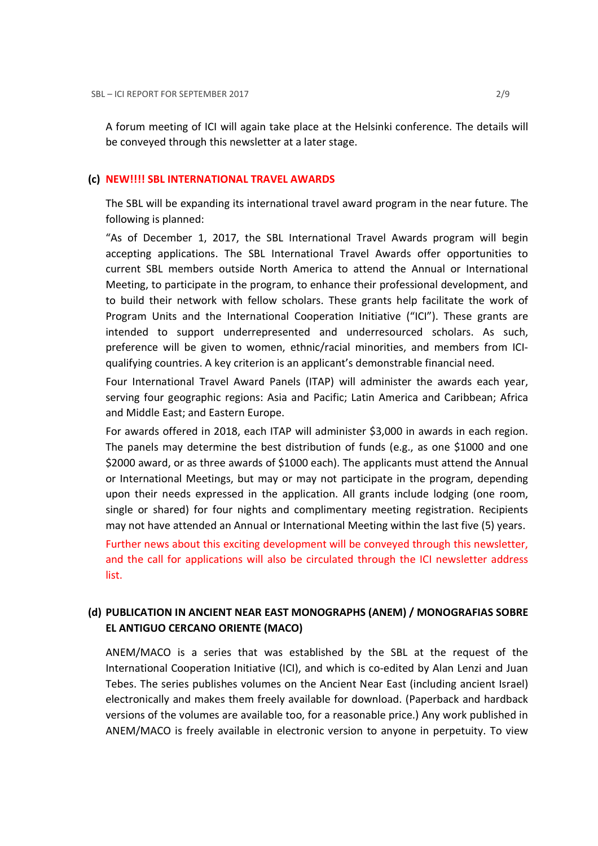A forum meeting of ICI will again take place at the Helsinki conference. The details will be conveyed through this newsletter at a later stage.

#### (c) NEW!!!! SBL INTERNATIONAL TRAVEL AWARDS

The SBL will be expanding its international travel award program in the near future. The following is planned:

"As of December 1, 2017, the SBL International Travel Awards program will begin accepting applications. The SBL International Travel Awards offer opportunities to current SBL members outside North America to attend the Annual or International Meeting, to participate in the program, to enhance their professional development, and to build their network with fellow scholars. These grants help facilitate the work of Program Units and the International Cooperation Initiative ("ICI"). These grants are intended to support underrepresented and underresourced scholars. As such, preference will be given to women, ethnic/racial minorities, and members from ICIqualifying countries. A key criterion is an applicant's demonstrable financial need.

Four International Travel Award Panels (ITAP) will administer the awards each year, serving four geographic regions: Asia and Pacific; Latin America and Caribbean; Africa and Middle East; and Eastern Europe.

For awards offered in 2018, each ITAP will administer \$3,000 in awards in each region. The panels may determine the best distribution of funds (e.g., as one \$1000 and one \$2000 award, or as three awards of \$1000 each). The applicants must attend the Annual or International Meetings, but may or may not participate in the program, depending upon their needs expressed in the application. All grants include lodging (one room, single or shared) for four nights and complimentary meeting registration. Recipients may not have attended an Annual or International Meeting within the last five (5) years.

Further news about this exciting development will be conveyed through this newsletter, and the call for applications will also be circulated through the ICI newsletter address list.

## (d) PUBLICATION IN ANCIENT NEAR EAST MONOGRAPHS (ANEM) / MONOGRAFIAS SOBRE EL ANTIGUO CERCANO ORIENTE (MACO)

ANEM/MACO is a series that was established by the SBL at the request of the International Cooperation Initiative (ICI), and which is co-edited by Alan Lenzi and Juan Tebes. The series publishes volumes on the Ancient Near East (including ancient Israel) electronically and makes them freely available for download. (Paperback and hardback versions of the volumes are available too, for a reasonable price.) Any work published in ANEM/MACO is freely available in electronic version to anyone in perpetuity. To view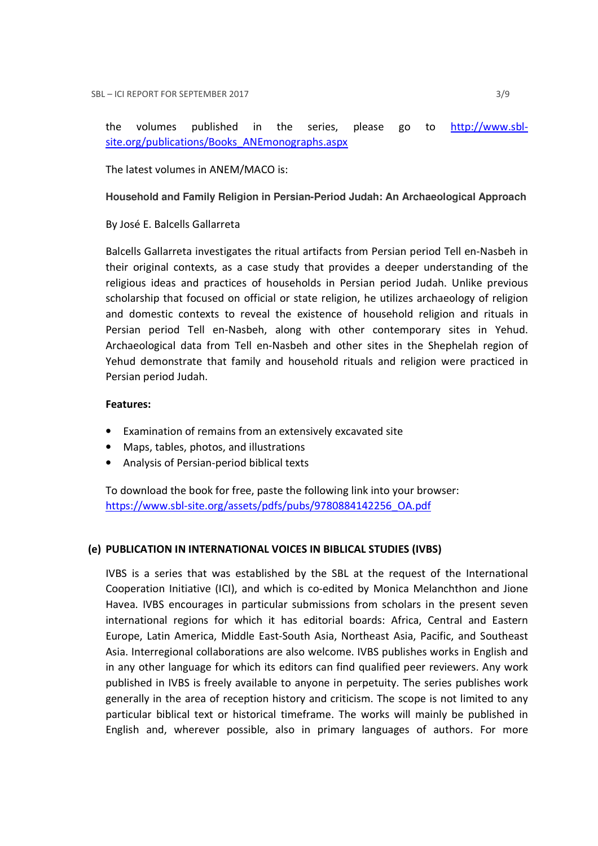the volumes published in the series, please go to http://www.sblsite.org/publications/Books\_ANEmonographs.aspx

The latest volumes in ANEM/MACO is:

**Household and Family Religion in Persian-Period Judah: An Archaeological Approach** 

## By José E. Balcells Gallarreta

Balcells Gallarreta investigates the ritual artifacts from Persian period Tell en-Nasbeh in their original contexts, as a case study that provides a deeper understanding of the religious ideas and practices of households in Persian period Judah. Unlike previous scholarship that focused on official or state religion, he utilizes archaeology of religion and domestic contexts to reveal the existence of household religion and rituals in Persian period Tell en-Nasbeh, along with other contemporary sites in Yehud. Archaeological data from Tell en-Nasbeh and other sites in the Shephelah region of Yehud demonstrate that family and household rituals and religion were practiced in Persian period Judah.

## Features:

- Examination of remains from an extensively excavated site
- Maps, tables, photos, and illustrations
- Analysis of Persian-period biblical texts

To download the book for free, paste the following link into your browser: https://www.sbl-site.org/assets/pdfs/pubs/9780884142256\_OA.pdf

## (e) PUBLICATION IN INTERNATIONAL VOICES IN BIBLICAL STUDIES (IVBS)

IVBS is a series that was established by the SBL at the request of the International Cooperation Initiative (ICI), and which is co-edited by Monica Melanchthon and Jione Havea. IVBS encourages in particular submissions from scholars in the present seven international regions for which it has editorial boards: Africa, Central and Eastern Europe, Latin America, Middle East-South Asia, Northeast Asia, Pacific, and Southeast Asia. Interregional collaborations are also welcome. IVBS publishes works in English and in any other language for which its editors can find qualified peer reviewers. Any work published in IVBS is freely available to anyone in perpetuity. The series publishes work generally in the area of reception history and criticism. The scope is not limited to any particular biblical text or historical timeframe. The works will mainly be published in English and, wherever possible, also in primary languages of authors. For more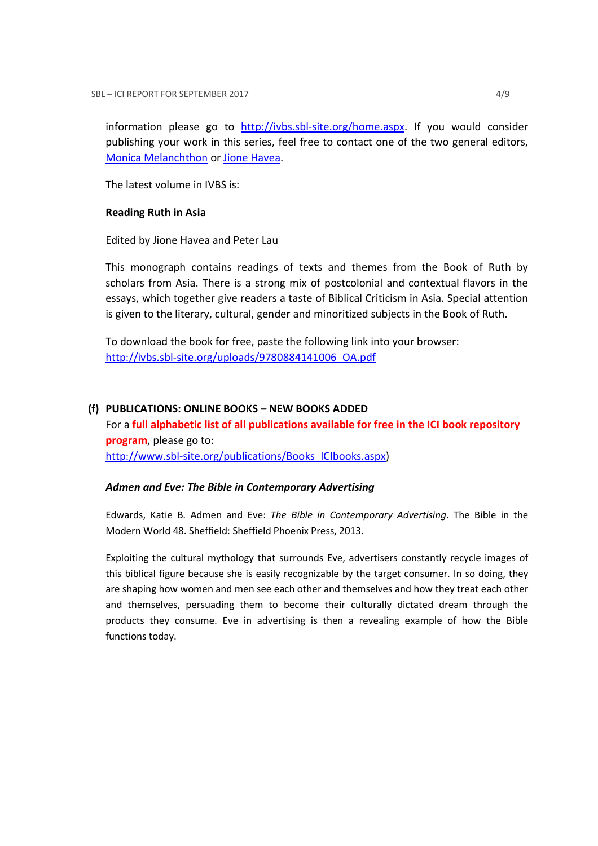information please go to http://ivbs.sbl-site.org/home.aspx. If you would consider publishing your work in this series, feel free to contact one of the two general editors, Monica Melanchthon or Jione Havea.

The latest volume in IVBS is:

## Reading Ruth in Asia

Edited by Jione Havea and Peter Lau

This monograph contains readings of texts and themes from the Book of Ruth by scholars from Asia. There is a strong mix of postcolonial and contextual flavors in the essays, which together give readers a taste of Biblical Criticism in Asia. Special attention is given to the literary, cultural, gender and minoritized subjects in the Book of Ruth.

To download the book for free, paste the following link into your browser: http://ivbs.sbl-site.org/uploads/9780884141006\_OA.pdf

## (f) PUBLICATIONS: ONLINE BOOKS – NEW BOOKS ADDED

For a full alphabetic list of all publications available for free in the ICI book repository program, please go to: http://www.sbl-site.org/publications/Books\_ICIbooks.aspx)

#### Admen and Eve: The Bible in Contemporary Advertising

Edwards, Katie B. Admen and Eve: The Bible in Contemporary Advertising. The Bible in the Modern World 48. Sheffield: Sheffield Phoenix Press, 2013.

Exploiting the cultural mythology that surrounds Eve, advertisers constantly recycle images of this biblical figure because she is easily recognizable by the target consumer. In so doing, they are shaping how women and men see each other and themselves and how they treat each other and themselves, persuading them to become their culturally dictated dream through the products they consume. Eve in advertising is then a revealing example of how the Bible functions today.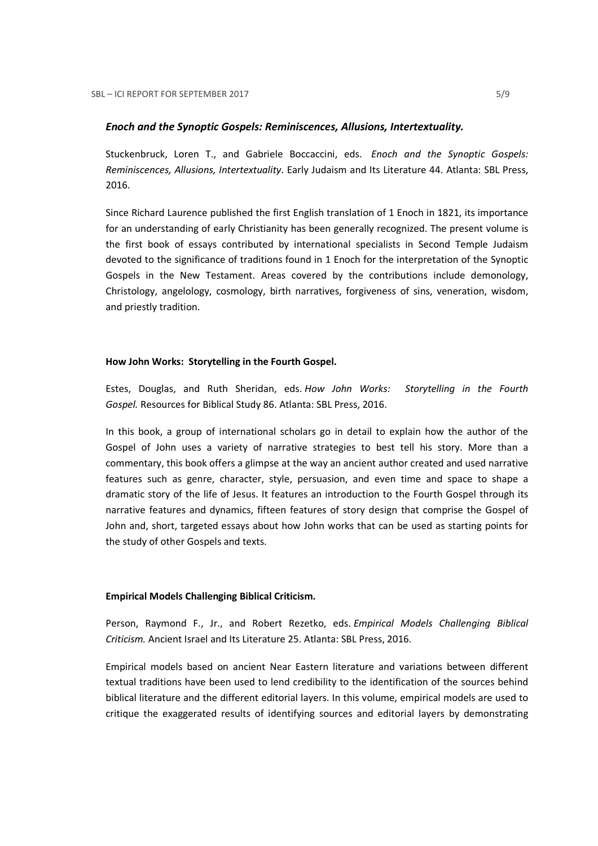#### Enoch and the Synoptic Gospels: Reminiscences, Allusions, Intertextuality.

Stuckenbruck, Loren T., and Gabriele Boccaccini, eds. Enoch and the Synoptic Gospels: Reminiscences, Allusions, Intertextuality. Early Judaism and Its Literature 44. Atlanta: SBL Press, 2016.

Since Richard Laurence published the first English translation of 1 Enoch in 1821, its importance for an understanding of early Christianity has been generally recognized. The present volume is the first book of essays contributed by international specialists in Second Temple Judaism devoted to the significance of traditions found in 1 Enoch for the interpretation of the Synoptic Gospels in the New Testament. Areas covered by the contributions include demonology, Christology, angelology, cosmology, birth narratives, forgiveness of sins, veneration, wisdom, and priestly tradition.

#### How John Works: Storytelling in the Fourth Gospel.

Estes, Douglas, and Ruth Sheridan, eds. How John Works: Storytelling in the Fourth Gospel. Resources for Biblical Study 86. Atlanta: SBL Press, 2016.

In this book, a group of international scholars go in detail to explain how the author of the Gospel of John uses a variety of narrative strategies to best tell his story. More than a commentary, this book offers a glimpse at the way an ancient author created and used narrative features such as genre, character, style, persuasion, and even time and space to shape a dramatic story of the life of Jesus. It features an introduction to the Fourth Gospel through its narrative features and dynamics, fifteen features of story design that comprise the Gospel of John and, short, targeted essays about how John works that can be used as starting points for the study of other Gospels and texts.

#### Empirical Models Challenging Biblical Criticism.

Person, Raymond F., Jr., and Robert Rezetko, eds. Empirical Models Challenging Biblical Criticism. Ancient Israel and Its Literature 25. Atlanta: SBL Press, 2016.

Empirical models based on ancient Near Eastern literature and variations between different textual traditions have been used to lend credibility to the identification of the sources behind biblical literature and the different editorial layers. In this volume, empirical models are used to critique the exaggerated results of identifying sources and editorial layers by demonstrating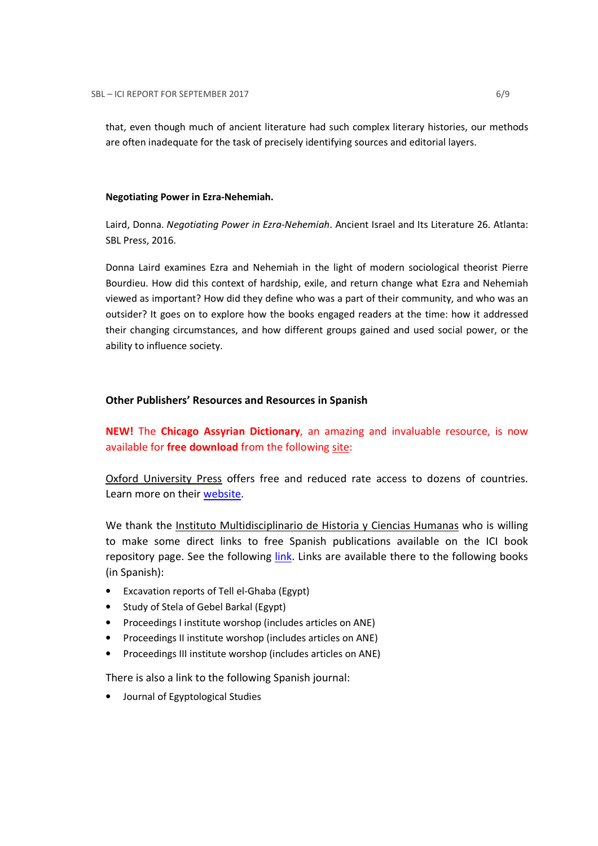that, even though much of ancient literature had such complex literary histories, our methods are often inadequate for the task of precisely identifying sources and editorial layers.

#### Negotiating Power in Ezra-Nehemiah.

Laird, Donna. Negotiating Power in Ezra-Nehemiah. Ancient Israel and Its Literature 26. Atlanta: SBL Press, 2016.

Donna Laird examines Ezra and Nehemiah in the light of modern sociological theorist Pierre Bourdieu. How did this context of hardship, exile, and return change what Ezra and Nehemiah viewed as important? How did they define who was a part of their community, and who was an outsider? It goes on to explore how the books engaged readers at the time: how it addressed their changing circumstances, and how different groups gained and used social power, or the ability to influence society.

## Other Publishers' Resources and Resources in Spanish

NEW! The Chicago Assyrian Dictionary, an amazing and invaluable resource, is now available for free download from the following site:

Oxford University Press offers free and reduced rate access to dozens of countries. Learn more on their website.

We thank the Instituto Multidisciplinario de Historia y Ciencias Humanas who is willing to make some direct links to free Spanish publications available on the ICI book repository page. See the following link. Links are available there to the following books (in Spanish):

- Excavation reports of Tell el-Ghaba (Egypt)
- Study of Stela of Gebel Barkal (Egypt)
- Proceedings I institute worshop (includes articles on ANE)
- Proceedings II institute worshop (includes articles on ANE)
- Proceedings III institute worshop (includes articles on ANE)

There is also a link to the following Spanish journal:

• Journal of Egyptological Studies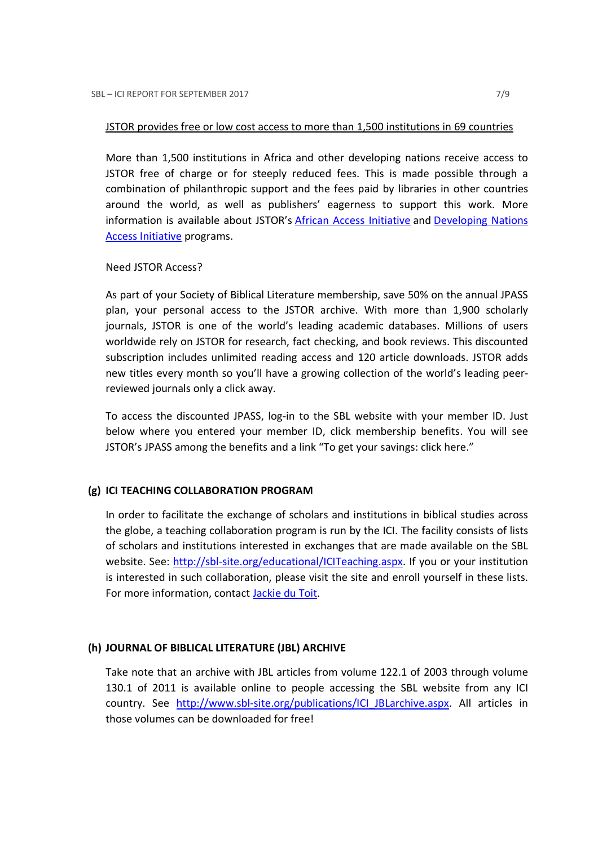#### JSTOR provides free or low cost access to more than 1,500 institutions in 69 countries

More than 1,500 institutions in Africa and other developing nations receive access to JSTOR free of charge or for steeply reduced fees. This is made possible through a combination of philanthropic support and the fees paid by libraries in other countries around the world, as well as publishers' eagerness to support this work. More information is available about JSTOR's African Access Initiative and Developing Nations Access Initiative programs.

#### Need JSTOR Access?

As part of your Society of Biblical Literature membership, save 50% on the annual JPASS plan, your personal access to the JSTOR archive. With more than 1,900 scholarly journals, JSTOR is one of the world's leading academic databases. Millions of users worldwide rely on JSTOR for research, fact checking, and book reviews. This discounted subscription includes unlimited reading access and 120 article downloads. JSTOR adds new titles every month so you'll have a growing collection of the world's leading peerreviewed journals only a click away.

To access the discounted JPASS, log-in to the SBL website with your member ID. Just below where you entered your member ID, click membership benefits. You will see JSTOR's JPASS among the benefits and a link "To get your savings: click here."

## (g) ICI TEACHING COLLABORATION PROGRAM

In order to facilitate the exchange of scholars and institutions in biblical studies across the globe, a teaching collaboration program is run by the ICI. The facility consists of lists of scholars and institutions interested in exchanges that are made available on the SBL website. See: http://sbl-site.org/educational/ICITeaching.aspx. If you or your institution is interested in such collaboration, please visit the site and enroll yourself in these lists. For more information, contact Jackie du Toit.

### (h) JOURNAL OF BIBLICAL LITERATURE (JBL) ARCHIVE

Take note that an archive with JBL articles from volume 122.1 of 2003 through volume 130.1 of 2011 is available online to people accessing the SBL website from any ICI country. See http://www.sbl-site.org/publications/ICI\_JBLarchive.aspx. All articles in those volumes can be downloaded for free!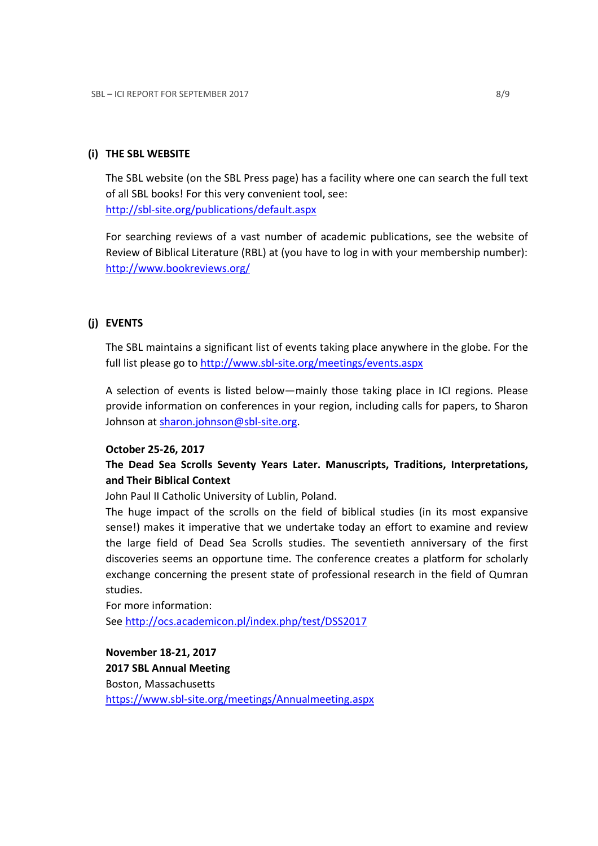## (i) THE SBL WEBSITE

The SBL website (on the SBL Press page) has a facility where one can search the full text of all SBL books! For this very convenient tool, see: http://sbl-site.org/publications/default.aspx

For searching reviews of a vast number of academic publications, see the website of Review of Biblical Literature (RBL) at (you have to log in with your membership number): http://www.bookreviews.org/

## (j) EVENTS

The SBL maintains a significant list of events taking place anywhere in the globe. For the full list please go to http://www.sbl-site.org/meetings/events.aspx

A selection of events is listed below—mainly those taking place in ICI regions. Please provide information on conferences in your region, including calls for papers, to Sharon Johnson at sharon.johnson@sbl-site.org.

## October 25-26, 2017

## The Dead Sea Scrolls Seventy Years Later. Manuscripts, Traditions, Interpretations, and Their Biblical Context

John Paul II Catholic University of Lublin, Poland.

The huge impact of the scrolls on the field of biblical studies (in its most expansive sense!) makes it imperative that we undertake today an effort to examine and review the large field of Dead Sea Scrolls studies. The seventieth anniversary of the first discoveries seems an opportune time. The conference creates a platform for scholarly exchange concerning the present state of professional research in the field of Qumran studies.

For more information: See http://ocs.academicon.pl/index.php/test/DSS2017

November 18-21, 2017 2017 SBL Annual Meeting Boston, Massachusetts https://www.sbl-site.org/meetings/Annualmeeting.aspx